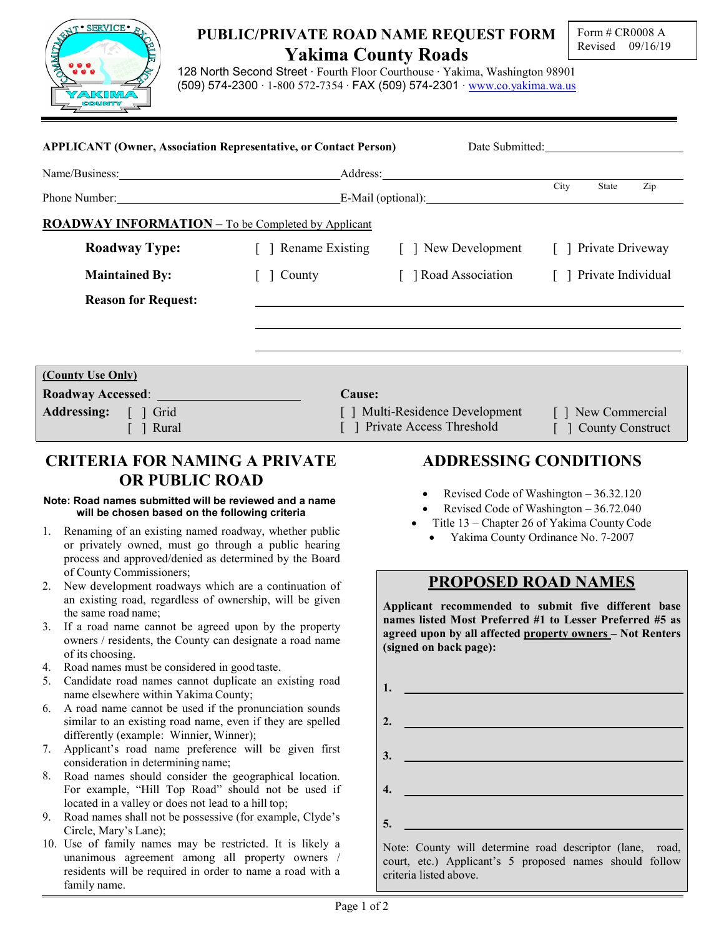

## PUBLIC/PRIVATE ROAD NAME REQUEST FORM Yakima County Roads

128 North Second Street ∙ Fourth Floor Courthouse ∙ Yakima, Washington 98901 (509) 574-2300 ∙ 1-800 572-7354 ∙ FAX (509) 574-2301 ∙ www.co.yakima.wa.us

|                                                                                                                                                                                                                                                                                                                 | <b>APPLICANT (Owner, Association Representative, or Contact Person)</b>                                                                                                                                                                                                                                        |                                                                                                            |        | Date Submitted: |                                                                                                                                                                                                                                      |  |     |  |  |
|-----------------------------------------------------------------------------------------------------------------------------------------------------------------------------------------------------------------------------------------------------------------------------------------------------------------|----------------------------------------------------------------------------------------------------------------------------------------------------------------------------------------------------------------------------------------------------------------------------------------------------------------|------------------------------------------------------------------------------------------------------------|--------|-----------------|--------------------------------------------------------------------------------------------------------------------------------------------------------------------------------------------------------------------------------------|--|-----|--|--|
|                                                                                                                                                                                                                                                                                                                 |                                                                                                                                                                                                                                                                                                                |                                                                                                            |        |                 |                                                                                                                                                                                                                                      |  |     |  |  |
|                                                                                                                                                                                                                                                                                                                 |                                                                                                                                                                                                                                                                                                                |                                                                                                            |        |                 | City<br>State                                                                                                                                                                                                                        |  | Zip |  |  |
|                                                                                                                                                                                                                                                                                                                 | <b>ROADWAY INFORMATION - To be Completed by Applicant</b>                                                                                                                                                                                                                                                      |                                                                                                            |        |                 |                                                                                                                                                                                                                                      |  |     |  |  |
|                                                                                                                                                                                                                                                                                                                 | <b>Roadway Type:</b>                                                                                                                                                                                                                                                                                           |                                                                                                            |        |                 | [ ] Rename Existing [ ] New Development [ ] Private Driveway                                                                                                                                                                         |  |     |  |  |
|                                                                                                                                                                                                                                                                                                                 | <b>Maintained By:</b>                                                                                                                                                                                                                                                                                          | $\lceil \ \rceil$ County                                                                                   |        |                 | [ ] Road Association [ ] Private Individual                                                                                                                                                                                          |  |     |  |  |
|                                                                                                                                                                                                                                                                                                                 | <b>Reason for Request:</b>                                                                                                                                                                                                                                                                                     |                                                                                                            |        |                 |                                                                                                                                                                                                                                      |  |     |  |  |
|                                                                                                                                                                                                                                                                                                                 |                                                                                                                                                                                                                                                                                                                |                                                                                                            |        |                 |                                                                                                                                                                                                                                      |  |     |  |  |
|                                                                                                                                                                                                                                                                                                                 | (County Use Only)                                                                                                                                                                                                                                                                                              |                                                                                                            |        |                 |                                                                                                                                                                                                                                      |  |     |  |  |
|                                                                                                                                                                                                                                                                                                                 |                                                                                                                                                                                                                                                                                                                |                                                                                                            | Cause: |                 |                                                                                                                                                                                                                                      |  |     |  |  |
| Addressing: [ ] Grid<br>$\lceil \; \rceil$ Rural                                                                                                                                                                                                                                                                |                                                                                                                                                                                                                                                                                                                | [ ] Multi-Residence Development [ ] New Commercial<br>[ ] Private Access Threshold<br>[ ] County Construct |        |                 |                                                                                                                                                                                                                                      |  |     |  |  |
|                                                                                                                                                                                                                                                                                                                 |                                                                                                                                                                                                                                                                                                                |                                                                                                            |        |                 |                                                                                                                                                                                                                                      |  |     |  |  |
| <b>OR PUBLIC ROAD</b><br>Note: Road names submitted will be reviewed and a name<br>will be chosen based on the following criteria<br>1. Renaming of an existing named roadway, whether public<br>or privately owned, must go through a public hearing<br>process and approved/denied as determined by the Board |                                                                                                                                                                                                                                                                                                                |                                                                                                            |        |                 | Revised Code of Washington – 36.32.120<br>$\bullet$<br>Revised Code of Washington - 36.72.040<br>Title 13 – Chapter 26 of Yakima County Code<br>• Yakima County Ordinance No. 7-2007                                                 |  |     |  |  |
| 2.                                                                                                                                                                                                                                                                                                              | of County Commissioners;<br>New development roadways which are a continuation of<br>an existing road, regardless of ownership, will be given<br>the same road name;<br>3. If a road name cannot be agreed upon by the property<br>owners / residents, the County can designate a road name<br>of its choosing. |                                                                                                            |        |                 | <b>PROPOSED ROAD NAMES</b><br>Applicant recommended to submit five different base<br>names listed Most Preferred #1 to Lesser Preferred #5 as<br>agreed upon by all affected property owners - Not Renters<br>(signed on back page): |  |     |  |  |
| 4.<br>5.                                                                                                                                                                                                                                                                                                        | Road names must be considered in good taste.<br>Candidate road names cannot duplicate an existing road<br>name elsewhere within Yakima County;                                                                                                                                                                 |                                                                                                            |        | 1.              |                                                                                                                                                                                                                                      |  |     |  |  |
| 6.                                                                                                                                                                                                                                                                                                              | A road name cannot be used if the pronunciation sounds<br>similar to an existing road name, even if they are spelled<br>differently (example: Winnier, Winner);                                                                                                                                                |                                                                                                            |        | 2.              |                                                                                                                                                                                                                                      |  |     |  |  |
| 7.                                                                                                                                                                                                                                                                                                              | Applicant's road name preference will be given first<br>consideration in determining name;                                                                                                                                                                                                                     |                                                                                                            |        | 3.              | <u> 1980 - Johann Barbara, martxa alemaniar a</u>                                                                                                                                                                                    |  |     |  |  |
| 8.                                                                                                                                                                                                                                                                                                              | Road names should consider the geographical location.<br>For example, "Hill Top Road" should not be used if<br>located in a valley or does not lead to a hill top;                                                                                                                                             |                                                                                                            |        | 4.              |                                                                                                                                                                                                                                      |  |     |  |  |
| 9.                                                                                                                                                                                                                                                                                                              | Road names shall not be possessive (for example, Clyde's<br>Circle, Mary's Lane);                                                                                                                                                                                                                              |                                                                                                            |        | 5.              |                                                                                                                                                                                                                                      |  |     |  |  |
|                                                                                                                                                                                                                                                                                                                 | 10. Use of family names may be restricted. It is likely a<br>unanimous agreement among all property owners /                                                                                                                                                                                                   |                                                                                                            |        |                 | Note: County will determine road descriptor (lane, road,<br>court etc.) Applicant's 5 proposed names should follow                                                                                                                   |  |     |  |  |

criteria listed above.

court, etc.) Applicant's 5 proposed names should follow

residents will be required in order to name a road with a

family name.